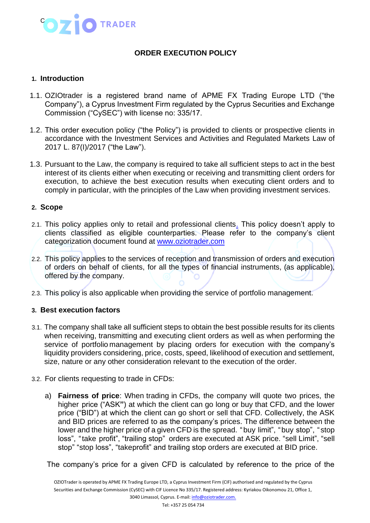

# **ORDER EXECUTION POLICY**

### **1. Introduction**

- 1.1. OZIOtrader is a registered brand name of APME FX Trading Europe LTD ("the Company"), a Cyprus Investment Firm regulated by the Cyprus Securities and Exchange Commission ("CySEC") with license no: 335/17.
- 1.2. This order execution policy ("the Policy") is provided to clients or prospective clients in accordance with the Investment Services and Activities and Regulated Markets Law of 2017 L. 87(I)/2017 ("the Law").
- 1.3. Pursuant to the Law, the company is required to take all sufficient steps to act in the best interest of its clients either when executing or receiving and transmitting client orders for execution, to achieve the best execution results when executing client orders and to comply in particular, with the principles of the Law when providing investment services.

### **2. Scope**

- 2.1. This policy applies only to retail and professional clients. This policy doesn't apply to clients classified as eligible counterparties. Please refer to the company's client categorization document found at [www.oziotrader.com](http://www.oziotrader.com/)
- 2.2. This policy applies to the services of reception and transmission of orders and execution of orders on behalf of clients, for all the types of financial instruments, (as applicable), offered by the company.
- 2.3. This policy is also applicable when providing the service of portfolio management.

### **3. Best execution factors**

- 3.1. The company shall take all sufficient steps to obtain the best possible results for its clients when receiving, transmitting and executing client orders as well as when performing the service of portfolio management by placing orders for execution with the company's liquidity providers considering, price, costs, speed, likelihood of execution and settlement, size, nature or any other consideration relevant to the execution of the order.
- 3.2. For clients requesting to trade in CFDs:
	- a) **Fairness of price**: When trading in CFDs, the company will quote two prices, the higher price ("ASK**"**) at which the client can go long or buy that CFD, and the lower price ("BID") at which the client can go short or sell that CFD. Collectively, the ASK and BID prices are referred to as the company's prices. The difference between the lower and the higher price of a given CFD is the spread. "buy limit", "buy stop", " stop loss", "take profit", "trailing stop" orders are executed at ASK price. "sell Limit", "sell stop" "stop loss", "take profit" and trailing stop orders are executed at BID price.

The company's price for a given CFD is calculated by reference to the price of the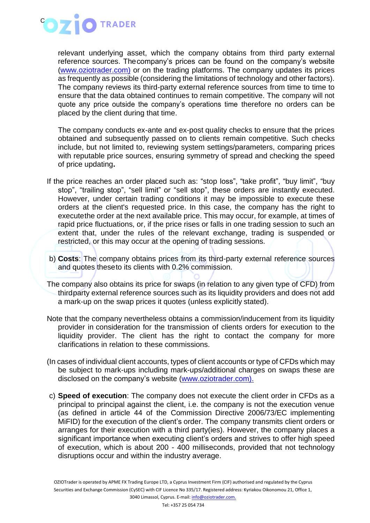

relevant underlying asset, which the company obtains from third party external reference sources. Thecompany's prices can be found on the company's website [\(www.oziotrader.com\)](http://www.oziotrader.com/) or on the trading platforms. The company updates its prices as frequently as possible (considering the limitations of technology and other factors). The company reviews its third-party external reference sources from time to time to ensure that the data obtained continues to remain competitive. The company will not quote any price outside the company's operations time therefore no orders can be placed by the client during that time.

The company conducts ex-ante and ex-post quality checks to ensure that the prices obtained and subsequently passed on to clients remain competitive. Such checks include, but not limited to, reviewing system settings/parameters, comparing prices with reputable price sources, ensuring symmetry of spread and checking the speed of price updating**.**

- If the price reaches an order placed such as: "stop loss", "take profit", "buy limit", "buy stop", "trailing stop", "sell limit" or "sell stop", these orders are instantly executed. However, under certain trading conditions it may be impossible to execute these orders at the client's requested price. In this case, the company has the right to executethe order at the next available price. This may occur, for example, at times of rapid price fluctuations, or, if the price rises or falls in one trading session to such an extent that, under the rules of the relevant exchange, trading is suspended or restricted, or this may occur at the opening of trading sessions.
- b) **Costs**: The company obtains prices from its third-party external reference sources and quotes theseto its clients with 0.2% commission.
- The company also obtains its price for swaps (in relation to any given type of CFD) from thirdparty external reference sources such as its liquidity providers and does not add a mark-up on the swap prices it quotes (unless explicitly stated).
- Note that the company nevertheless obtains a commission/inducement from its liquidity provider in consideration for the transmission of clients orders for execution to the liquidity provider. The client has the right to contact the company for more clarifications in relation to these commissions.
- (In cases of individual client accounts, types of client accounts or type of CFDs which may be subject to mark-ups including mark-ups/additional charges on swaps these are disclosed on the company's website [\(www.oziotrader.com\).](http://www.oziotrader.com)./)
- c) **Speed of execution**: The company does not execute the client order in CFDs as a principal to principal against the client, i.e. the company is not the execution venue (as defined in article 44 of the Commission Directive 2006/73/EC implementing MiFID) for the execution of the client's order. The company transmits client orders or arranges for their execution with a third party(ies). However, the company places a significant importance when executing client's orders and strives to offer high speed of execution, which is about 200 - 400 milliseconds, provided that not technology disruptions occur and within the industry average.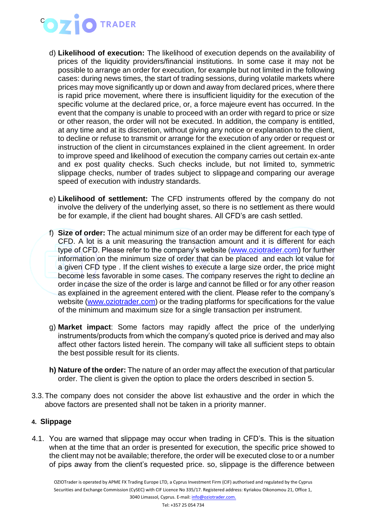# **OZIO** TRADER

- d) **Likelihood of execution:** The likelihood of execution depends on the availability of prices of the liquidity providers/financial institutions. In some case it may not be possible to arrange an order for execution, for example but not limited in the following cases: during news times, the start of trading sessions, during volatile markets where prices may move significantly up or down and away from declared prices, where there is rapid price movement, where there is insufficient liquidity for the execution of the specific volume at the declared price, or, a force majeure event has occurred. In the event that the company is unable to proceed with an order with regard to price or size or other reason, the order will not be executed. In addition, the company is entitled, at any time and at its discretion, without giving any notice or explanation to the client, to decline or refuse to transmit or arrange for the execution of any order or request or instruction of the client in circumstances explained in the client agreement. In order to improve speed and likelihood of execution the company carries out certain ex-ante and ex post quality checks. Such checks include, but not limited to, symmetric slippage checks, number of trades subject to slippageand comparing our average speed of execution with industry standards.
- e) **Likelihood of settlement:** The CFD instruments offered by the company do not involve the delivery of the underlying asset, so there is no settlement as there would be for example, if the client had bought shares. All CFD's are cash settled.
- f) **Size of order:** The actual minimum size of an order may be different for each type of CFD. A lot is a unit measuring the transaction amount and it is different for each type of CFD. Please refer to the company's website [\(www.oziotrader.com\)](http://www.oziotrader.com/) for further information on the minimum size of order that can be placed and each lot value for a given CFD type . If the client wishes to execute a large size order, the price might become less favorable in some cases. The company reserves the right to decline an order in case the size of the order is large and cannot be filled or for any other reason as explained in the agreement entered with the client. Please refer to the company's website [\(www.oziotrader.com\)](http://www.oziotrader.com/) or the trading platforms for specifications for the value of the minimum and maximum size for a single transaction per instrument.
- g) **Market impact**: Some factors may rapidly affect the price of the underlying instruments/products from which the company's quoted price is derived and may also affect other factors listed herein. The company will take all sufficient steps to obtain the best possible result for its clients.
- **h) Nature of the order:** The nature of an order may affect the execution of that particular order. The client is given the option to place the orders described in section 5.
- 3.3.The company does not consider the above list exhaustive and the order in which the above factors are presented shall not be taken in a priority manner.

# **4. Slippage**

4.1. You are warned that slippage may occur when trading in CFD's. This is the situation when at the time that an order is presented for execution, the specific price showed to the client may not be available; therefore, the order will be executed close to or a number of pips away from the client's requested price. so, slippage is the difference between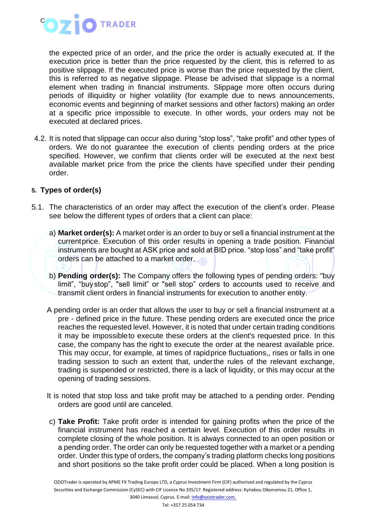

the expected price of an order, and the price the order is actually executed at. If the execution price is better than the price requested by the client, this is referred to as positive slippage. If the executed price is worse than the price requested by the client, this is referred to as negative slippage. Please be advised that slippage is a normal element when trading in financial instruments. Slippage more often occurs during periods of illiquidity or higher volatility (for example due to news announcements, economic events and beginning of market sessions and other factors) making an order at a specific price impossible to execute. In other words, your orders may not be executed at declared prices.

4.2. It is noted that slippage can occur also during "stop loss", "take profit" and other types of orders. We do not guarantee the execution of clients pending orders at the price specified. However, we confirm that clients order will be executed at the next best available market price from the price the clients have specified under their pending order.

### **5. Types of order(s)**

- 5.1. The characteristics of an order may affect the execution of the client's order. Please see below the different types of orders that a client can place:
	- a) **Market order(s):** A market order is an order to buy or sell a financial instrument at the currentprice. Execution of this order results in opening a trade position. Financial instruments are bought at ASK price and sold at BID price. "stop loss" and "take profit" orders can be attached to a market order.
	- b) **Pending order(s):** The Company offers the following types of pending orders: "buy limit", "buystop", "sell limit" or "sell stop" orders to accounts used to receive and transmit client orders in financial instruments for execution to another entity.
	- A pending order is an order that allows the user to buy or sell a financial instrument at a pre - defined price in the future. These pending orders are executed once the price reaches the requested level. However, it is noted that under certain trading conditions it may be impossibleto execute these orders at the client's requested price. In this case, the company has the right to execute the order at the nearest available price. This may occur, for example, at times of rapidprice fluctuations,, rises or falls in one trading session to such an extent that, underthe rules of the relevant exchange, trading is suspended or restricted, there is a lack of liquidity, or this may occur at the opening of trading sessions.
	- It is noted that stop loss and take profit may be attached to a pending order. Pending orders are good until are canceled.
	- c) **Take Profit:** Take profit order is intended for gaining profits when the price of the financial instrument has reached a certain level. Execution of this order results in complete closing of the whole position. It is always connected to an open position or a pending order. The order can only be requested together with a market or a pending order. Under this type of orders, the company's trading platform checks long positions and short positions so the take profit order could be placed. When a long position is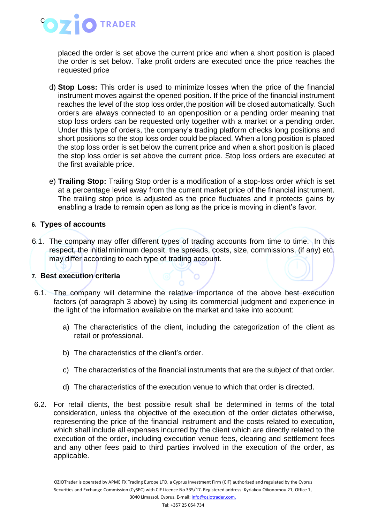

placed the order is set above the current price and when a short position is placed the order is set below. Take profit orders are executed once the price reaches the requested price

- d) **Stop Loss:** This order is used to minimize losses when the price of the financial instrument moves against the opened position. If the price of the financial instrument reaches the level of the stop loss order,the position will be closed automatically. Such orders are always connected to an openposition or a pending order meaning that stop loss orders can be requested only together with a market or a pending order. Under this type of orders, the company's trading platform checks long positions and short positions so the stop loss order could be placed. When a long position is placed the stop loss order is set below the current price and when a short position is placed the stop loss order is set above the current price. Stop loss orders are executed at the first available price.
- e) **Trailing Stop:** Trailing Stop order is a modification of a stop-loss order which is set at a percentage level away from the current market price of the financial instrument. The trailing stop price is adjusted as the price fluctuates and it protects gains by enabling a trade to remain open as long as the price is moving in client's favor.

### **6. Types of accounts**

6.1. The company may offer different types of trading accounts from time to time. In this respect, the initial minimum deposit, the spreads, costs, size, commissions, (if any) etc. may differ according to each type of trading account.

### **7. Best execution criteria**

- 6.1. The company will determine the relative importance of the above best execution factors (of paragraph 3 above) by using its commercial judgment and experience in the light of the information available on the market and take into account:
	- a) The characteristics of the client, including the categorization of the client as retail or professional.
	- b) The characteristics of the client's order.
	- c) The characteristics of the financial instruments that are the subject of that order.
	- d) The characteristics of the execution venue to which that order is directed.
- 6.2. For retail clients, the best possible result shall be determined in terms of the total consideration, unless the objective of the execution of the order dictates otherwise, representing the price of the financial instrument and the costs related to execution, which shall include all expenses incurred by the client which are directly related to the execution of the order, including execution venue fees, clearing and settlement fees and any other fees paid to third parties involved in the execution of the order, as applicable.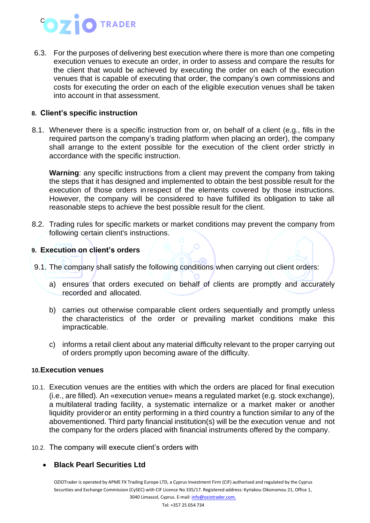# **O** TRADER C

6.3. For the purposes of delivering best execution where there is more than one competing execution venues to execute an order, in order to assess and compare the results for the client that would be achieved by executing the order on each of the execution venues that is capable of executing that order, the company's own commissions and costs for executing the order on each of the eligible execution venues shall be taken into account in that assessment.

## **8. Client's specific instruction**

8.1. Whenever there is a specific instruction from or, on behalf of a client (e.g., fills in the required partson the company's trading platform when placing an order), the company shall arrange to the extent possible for the execution of the client order strictly in accordance with the specific instruction.

**Warning**: any specific instructions from a client may prevent the company from taking the steps that it has designed and implemented to obtain the best possible result for the execution of those orders inrespect of the elements covered by those instructions. However, the company will be considered to have fulfilled its obligation to take all reasonable steps to achieve the best possible result for the client.

8.2. Trading rules for specific markets or market conditions may prevent the company from following certain client's instructions.

## **9. Execution on client's orders**

- 9.1. The company shall satisfy the following conditions when carrying out client orders:
	- a) ensures that orders executed on behalf of clients are promptly and accurately recorded and allocated.
	- b) carries out otherwise comparable client orders sequentially and promptly unless the characteristics of the order or prevailing market conditions make this impracticable.
	- c) informs a retail client about any material difficulty relevant to the proper carrying out of orders promptly upon becoming aware of the difficulty.

### **10.Execution venues**

- 10.1. Execution venues are the entities with which the orders are placed for final execution (i.e., are filled). An «execution venue» means a regulated market (e.g. stock exchange), a multilateral trading facility, a systematic internalize or a market maker or another liquidity provider or an entity performing in a third country a function similar to any of the abovementioned. Third party financial institution(s) will be the execution venue and not the company for the orders placed with financial instruments offered by the company.
- 10.2. The company will execute client's orders with

### • **Black Pearl Securities Ltd**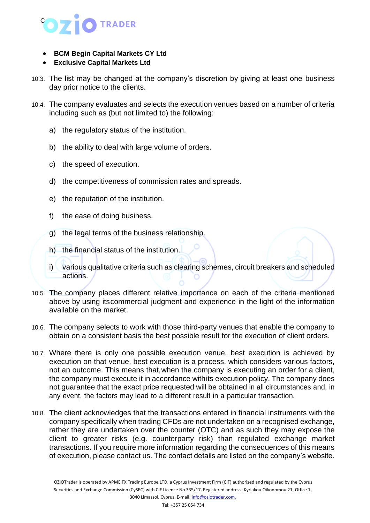

- **BCM Begin Capital Markets CY Ltd**
- **Exclusive Capital Markets Ltd**
- 10.3. The list may be changed at the company's discretion by giving at least one business day prior notice to the clients.
- 10.4. The company evaluates and selects the execution venues based on a number of criteria including such as (but not limited to) the following:
	- a) the regulatory status of the institution.
	- b) the ability to deal with large volume of orders.
	- c) the speed of execution.
	- d) the competitiveness of commission rates and spreads.
	- e) the reputation of the institution.
	- f) the ease of doing business.
	- g) the legal terms of the business relationship.
	- h) the financial status of the institution.
	- i) various qualitative criteria such as clearing schemes, circuit breakers and scheduled actions.
- 10.5. The company places different relative importance on each of the criteria mentioned above by using itscommercial judgment and experience in the light of the information available on the market.
- 10.6. The company selects to work with those third-party venues that enable the company to obtain on a consistent basis the best possible result for the execution of client orders.
- 10.7. Where there is only one possible execution venue, best execution is achieved by execution on that venue. best execution is a process, which considers various factors, not an outcome. This means that,when the company is executing an order for a client, the company must execute it in accordance withits execution policy. The company does not guarantee that the exact price requested will be obtained in all circumstances and, in any event, the factors may lead to a different result in a particular transaction.
- 10.8. The client acknowledges that the transactions entered in financial instruments with the company specifically when trading CFDs are not undertaken on a recognised exchange, rather they are undertaken over the counter (OTC) and as such they may expose the client to greater risks (e.g. counterparty risk) than regulated exchange market transactions. If you require more information regarding the consequences of this means of execution, please contact us. The contact details are listed on the company's website.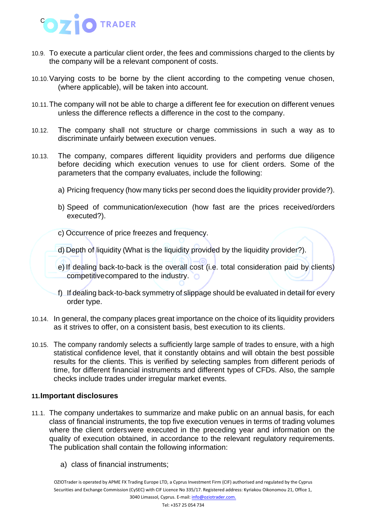

- 10.9. To execute a particular client order, the fees and commissions charged to the clients by the company will be a relevant component of costs.
- 10.10.Varying costs to be borne by the client according to the competing venue chosen, (where applicable), will be taken into account.
- 10.11.The company will not be able to charge a different fee for execution on different venues unless the difference reflects a difference in the cost to the company.
- 10.12. The company shall not structure or charge commissions in such a way as to discriminate unfairly between execution venues.
- 10.13. The company, compares different liquidity providers and performs due diligence before deciding which execution venues to use for client orders. Some of the parameters that the company evaluates, include the following:
	- a) Pricing frequency (how many ticks per second does the liquidity provider provide?).
	- b) Speed of communication/execution (how fast are the prices received/orders executed?).
	- c) Occurrence of price freezes and frequency.
	- d) Depth of liquidity (What is the liquidity provided by the liquidity provider?).
	- e) If dealing back-to-back is the overall cost (i.e. total consideration paid by clients) competitive compared to the industry.  $\bullet$
	- f) If dealing back-to-back symmetry of slippage should be evaluated in detail for every order type.
- 10.14. In general, the company places great importance on the choice of its liquidity providers as it strives to offer, on a consistent basis, best execution to its clients.
- 10.15. The company randomly selects a sufficiently large sample of trades to ensure, with a high statistical confidence level, that it constantly obtains and will obtain the best possible results for the clients. This is verified by selecting samples from different periods of time, for different financial instruments and different types of CFDs. Also, the sample checks include trades under irregular market events.

### **11.Important disclosures**

- 11.1. The company undertakes to summarize and make public on an annual basis, for each class of financial instruments, the top five execution venues in terms of trading volumes where the client orderswere executed in the preceding year and information on the quality of execution obtained, in accordance to the relevant regulatory requirements. The publication shall contain the following information:
	- a) class of financial instruments;

OZIOTrader is operated by APME FX Trading Europe LTD, a Cyprus Investment Firm (CIF) authorised and regulated by the Cyprus Securities and Exchange Commission (CySEC) with CIF Licence No 335/17. Registered address: Kyriakou Oikonomou 21, Office 1, 3040 Limassol, Cyprus. E-mail[: info@oziotrader.com.](mailto:info@oziotrader.com)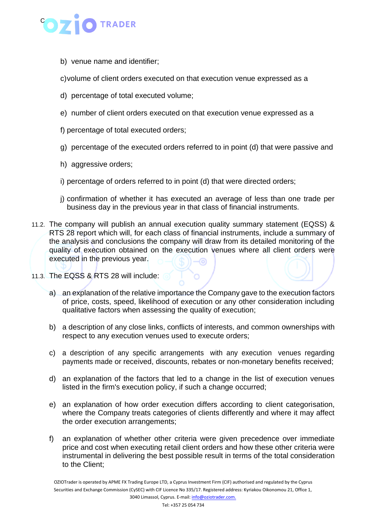

b) venue name and identifier;

c)volume of client orders executed on that execution venue expressed as a

- d) percentage of total executed volume;
- e) number of client orders executed on that execution venue expressed as a
- f) percentage of total executed orders;
- g) percentage of the executed orders referred to in point (d) that were passive and
- h) aggressive orders;
- i) percentage of orders referred to in point (d) that were directed orders;
- j) confirmation of whether it has executed an average of less than one trade per business day in the previous year in that class of financial instruments.
- 11.2. The company will publish an annual execution quality summary statement (EQSS) & RTS 28 report which will, for each class of financial instruments, include a summary of the analysis and conclusions the company will draw from its detailed monitoring of the quality of execution obtained on the execution venues where all client orders were executed in the previous year.
- 11.3. The EQSS & RTS 28 will include:
	- a) an explanation of the relative importance the Company gave to the execution factors of price, costs, speed, likelihood of execution or any other consideration including qualitative factors when assessing the quality of execution;
	- b) a description of any close links, conflicts of interests, and common ownerships with respect to any execution venues used to execute orders;
	- c) a description of any specific arrangements with any execution venues regarding payments made or received, discounts, rebates or non-monetary benefits received;
	- d) an explanation of the factors that led to a change in the list of execution venues listed in the firm's execution policy, if such a change occurred;
	- e) an explanation of how order execution differs according to client categorisation, where the Company treats categories of clients differently and where it may affect the order execution arrangements;
	- f) an explanation of whether other criteria were given precedence over immediate price and cost when executing retail client orders and how these other criteria were instrumental in delivering the best possible result in terms of the total consideration to the Client;